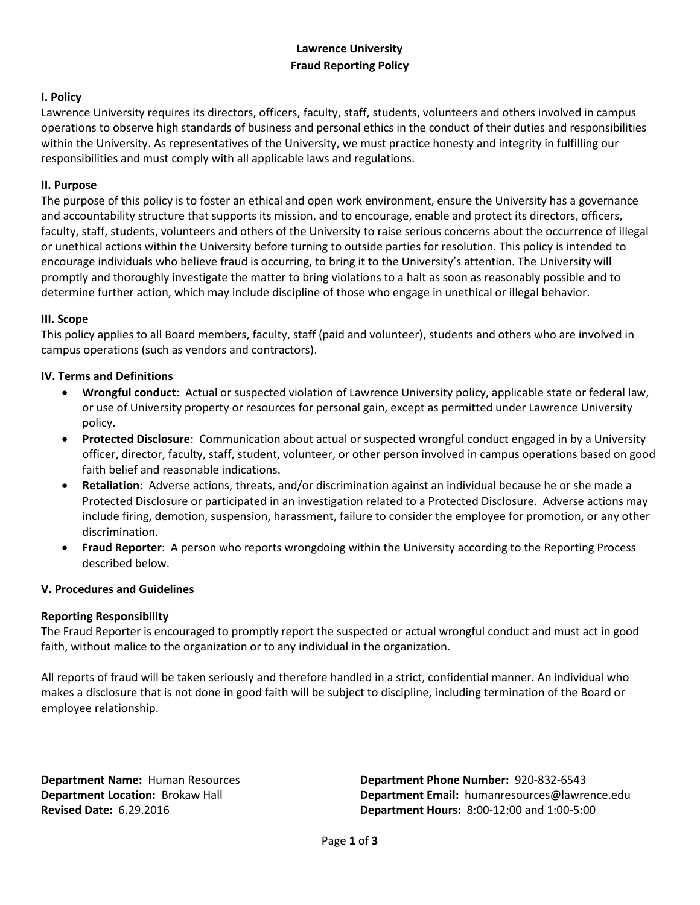## **Lawrence University Fraud Reporting Policy**

## **I. Policy**

Lawrence University requires its directors, officers, faculty, staff, students, volunteers and others involved in campus operations to observe high standards of business and personal ethics in the conduct of their duties and responsibilities within the University. As representatives of the University, we must practice honesty and integrity in fulfilling our responsibilities and must comply with all applicable laws and regulations.

### **II. Purpose**

The purpose of this policy is to foster an ethical and open work environment, ensure the University has a governance and accountability structure that supports its mission, and to encourage, enable and protect its directors, officers, faculty, staff, students, volunteers and others of the University to raise serious concerns about the occurrence of illegal or unethical actions within the University before turning to outside parties for resolution. This policy is intended to encourage individuals who believe fraud is occurring, to bring it to the University's attention. The University will promptly and thoroughly investigate the matter to bring violations to a halt as soon as reasonably possible and to determine further action, which may include discipline of those who engage in unethical or illegal behavior.

#### **III. Scope**

This policy applies to all Board members, faculty, staff (paid and volunteer), students and others who are involved in campus operations (such as vendors and contractors).

## **IV. Terms and Definitions**

- **Wrongful conduct**: Actual or suspected violation of Lawrence University policy, applicable state or federal law, or use of University property or resources for personal gain, except as permitted under Lawrence University policy.
- **Protected Disclosure**: Communication about actual or suspected wrongful conduct engaged in by a University officer, director, faculty, staff, student, volunteer, or other person involved in campus operations based on good faith belief and reasonable indications.
- **Retaliation**: Adverse actions, threats, and/or discrimination against an individual because he or she made a Protected Disclosure or participated in an investigation related to a Protected Disclosure. Adverse actions may include firing, demotion, suspension, harassment, failure to consider the employee for promotion, or any other discrimination.
- **Fraud Reporter**: A person who reports wrongdoing within the University according to the Reporting Process described below.

#### **V. Procedures and Guidelines**

#### **Reporting Responsibility**

The Fraud Reporter is encouraged to promptly report the suspected or actual wrongful conduct and must act in good faith, without malice to the organization or to any individual in the organization.

All reports of fraud will be taken seriously and therefore handled in a strict, confidential manner. An individual who makes a disclosure that is not done in good faith will be subject to discipline, including termination of the Board or employee relationship.

**Department Name:** Human Resources **Department Phone Number:** 920-832-6543 **Department Location:** Brokaw Hall **Department Email:** humanresources@lawrence.edu **Revised Date:** 6.29.2016 **Department Hours:** 8:00-12:00 and 1:00-5:00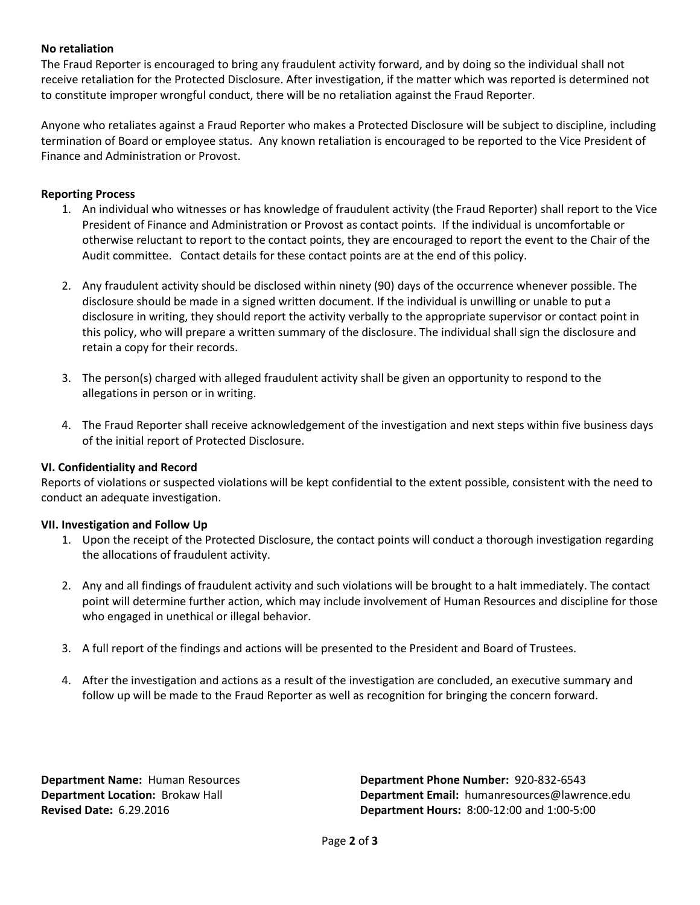### **No retaliation**

The Fraud Reporter is encouraged to bring any fraudulent activity forward, and by doing so the individual shall not receive retaliation for the Protected Disclosure. After investigation, if the matter which was reported is determined not to constitute improper wrongful conduct, there will be no retaliation against the Fraud Reporter.

Anyone who retaliates against a Fraud Reporter who makes a Protected Disclosure will be subject to discipline, including termination of Board or employee status. Any known retaliation is encouraged to be reported to the Vice President of Finance and Administration or Provost.

#### **Reporting Process**

- 1. An individual who witnesses or has knowledge of fraudulent activity (the Fraud Reporter) shall report to the Vice President of Finance and Administration or Provost as contact points. If the individual is uncomfortable or otherwise reluctant to report to the contact points, they are encouraged to report the event to the Chair of the Audit committee. Contact details for these contact points are at the end of this policy.
- 2. Any fraudulent activity should be disclosed within ninety (90) days of the occurrence whenever possible. The disclosure should be made in a signed written document. If the individual is unwilling or unable to put a disclosure in writing, they should report the activity verbally to the appropriate supervisor or contact point in this policy, who will prepare a written summary of the disclosure. The individual shall sign the disclosure and retain a copy for their records.
- 3. The person(s) charged with alleged fraudulent activity shall be given an opportunity to respond to the allegations in person or in writing.
- 4. The Fraud Reporter shall receive acknowledgement of the investigation and next steps within five business days of the initial report of Protected Disclosure.

#### **VI. Confidentiality and Record**

Reports of violations or suspected violations will be kept confidential to the extent possible, consistent with the need to conduct an adequate investigation.

#### **VII. Investigation and Follow Up**

- 1. Upon the receipt of the Protected Disclosure, the contact points will conduct a thorough investigation regarding the allocations of fraudulent activity.
- 2. Any and all findings of fraudulent activity and such violations will be brought to a halt immediately. The contact point will determine further action, which may include involvement of Human Resources and discipline for those who engaged in unethical or illegal behavior.
- 3. A full report of the findings and actions will be presented to the President and Board of Trustees.
- 4. After the investigation and actions as a result of the investigation are concluded, an executive summary and follow up will be made to the Fraud Reporter as well as recognition for bringing the concern forward.

**Department Name:** Human Resources **Department Phone Number:** 920-832-6543 **Department Location:** Brokaw Hall **Department Email:** humanresources@lawrence.edu **Revised Date:** 6.29.2016 **Department Hours:** 8:00-12:00 and 1:00-5:00